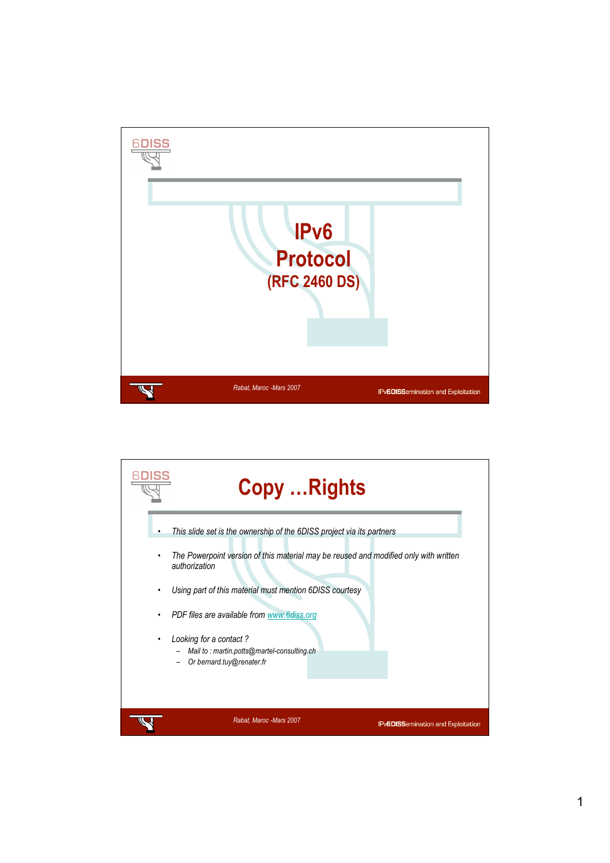

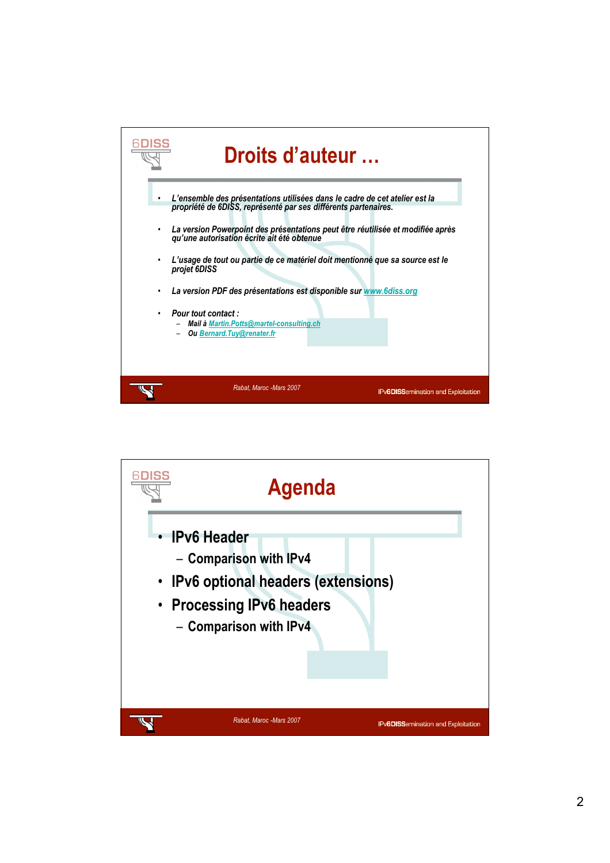

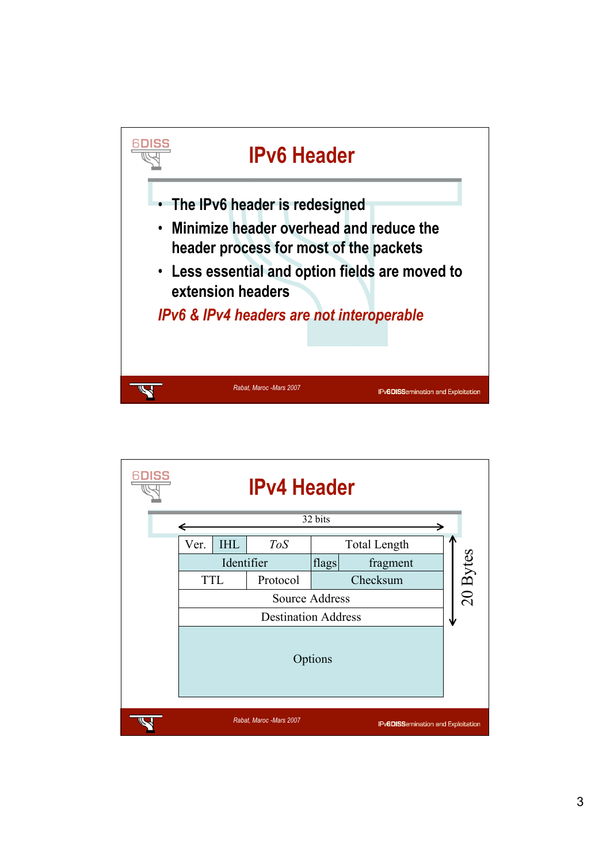

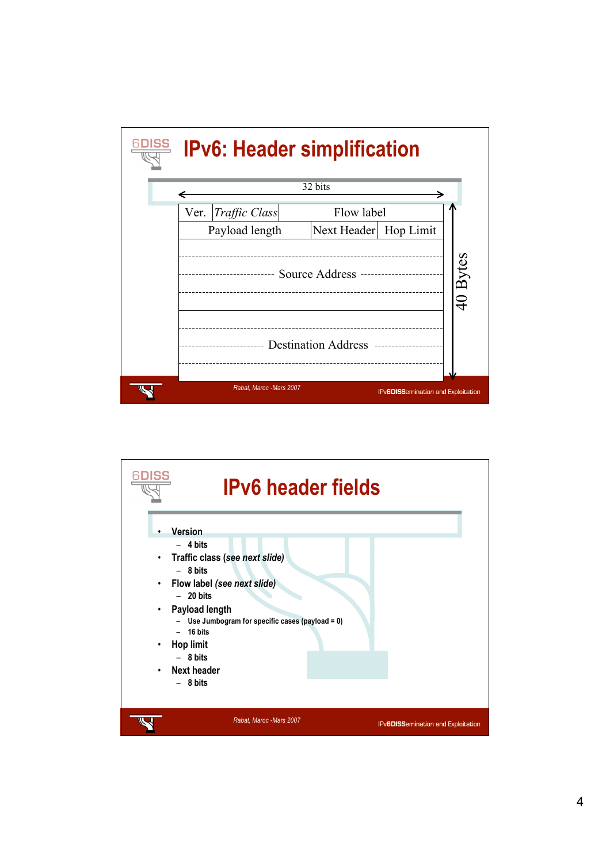

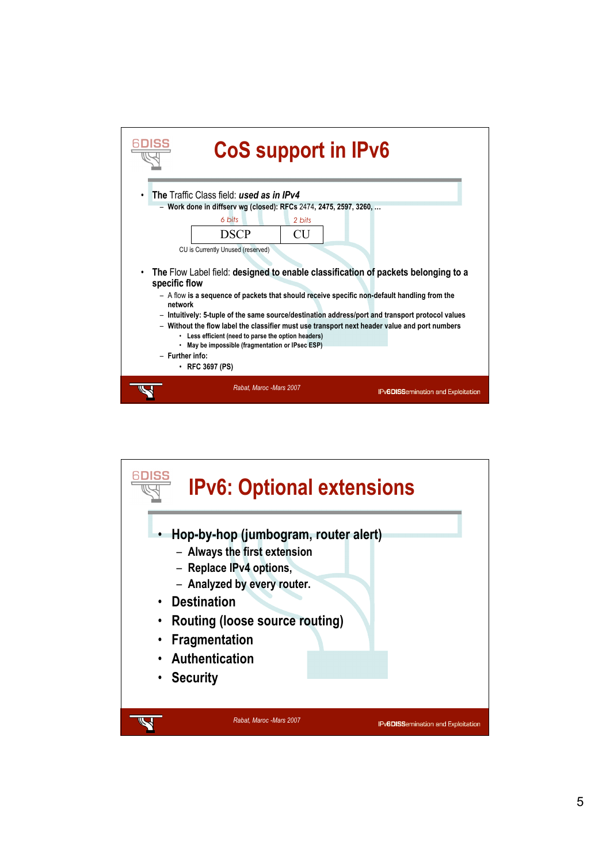| <b>CoS support in IPv6</b>                                                                                                                                                                                                                                                                                                                                                                                                                                                                                                                                                     |                         |        |  |                                           |
|--------------------------------------------------------------------------------------------------------------------------------------------------------------------------------------------------------------------------------------------------------------------------------------------------------------------------------------------------------------------------------------------------------------------------------------------------------------------------------------------------------------------------------------------------------------------------------|-------------------------|--------|--|-------------------------------------------|
| The Traffic Class field: used as in IPv4<br>$\bullet$                                                                                                                                                                                                                                                                                                                                                                                                                                                                                                                          |                         |        |  |                                           |
| - Work done in diffserv wg (closed): RFCs 2474, 2475, 2597, 3260,                                                                                                                                                                                                                                                                                                                                                                                                                                                                                                              |                         |        |  |                                           |
|                                                                                                                                                                                                                                                                                                                                                                                                                                                                                                                                                                                | 6 bits                  | 2 bits |  |                                           |
|                                                                                                                                                                                                                                                                                                                                                                                                                                                                                                                                                                                | <b>DSCP</b>             | CU     |  |                                           |
| CU is Currently Unused (reserved)                                                                                                                                                                                                                                                                                                                                                                                                                                                                                                                                              |                         |        |  |                                           |
| The Flow Label field: designed to enable classification of packets belonging to a<br>٠<br>specific flow<br>- A flow is a sequence of packets that should receive specific non-default handling from the<br>network<br>- Intuitively: 5-tuple of the same source/destination address/port and transport protocol values<br>- Without the flow label the classifier must use transport next header value and port numbers<br>• Less efficient (need to parse the option headers)<br>. May be impossible (fragmentation or IPsec ESP)<br>- Further info:<br>$\cdot$ RFC 3697 (PS) |                         |        |  |                                           |
|                                                                                                                                                                                                                                                                                                                                                                                                                                                                                                                                                                                | Rabat, Maroc -Mars 2007 |        |  | <b>IPv6DISSemination and Exploitation</b> |

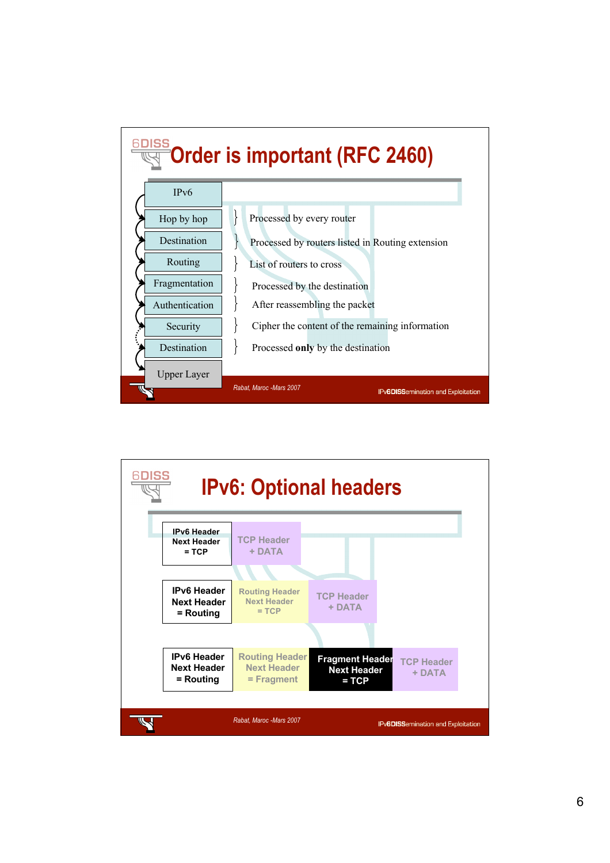

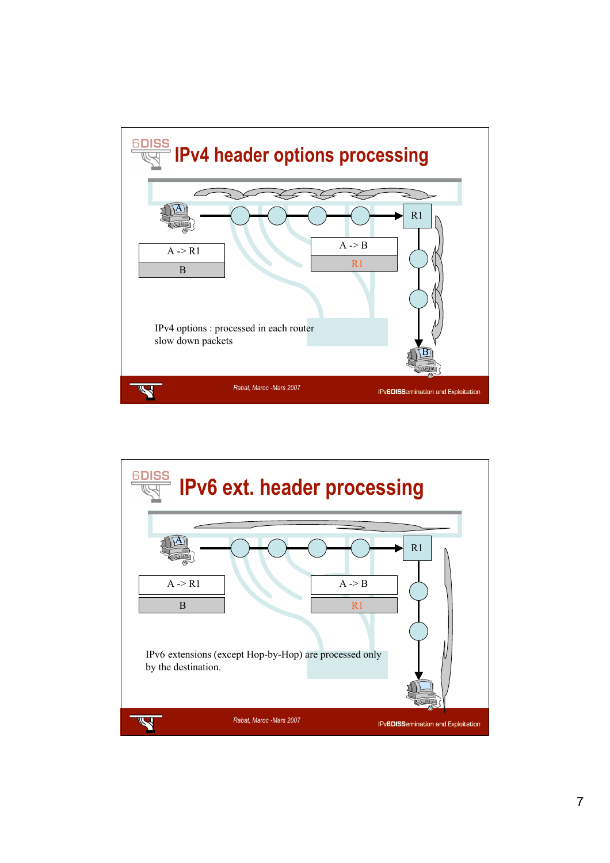